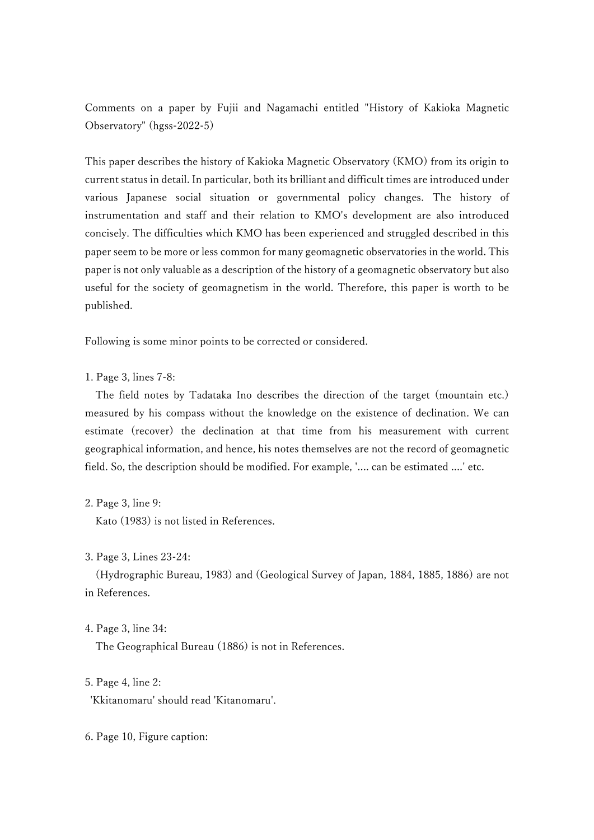Comments on a paper by Fujii and Nagamachi entitled "History of Kakioka Magnetic Observatory" (hgss-2022-5)

This paper describes the history of Kakioka Magnetic Observatory (KMO) from its origin to current status in detail. In particular, both its brilliant and difficult times are introduced under various Japanese social situation or governmental policy changes. The history of instrumentation and staff and their relation to KMO's development are also introduced concisely. The difficulties which KMO has been experienced and struggled described in this paper seem to be more or less common for many geomagnetic observatories in the world. This paper is not only valuable as a description of the history of a geomagnetic observatory but also useful for the society of geomagnetism in the world. Therefore, this paper is worth to be published.

Following is some minor points to be corrected or considered.

1. Page 3, lines 7-8:

The field notes by Tadataka Ino describes the direction of the target (mountain etc.) measured by his compass without the knowledge on the existence of declination. We can estimate (recover) the declination at that time from his measurement with current geographical information, and hence, his notes themselves are not the record of geomagnetic field. So, the description should be modified. For example, '.... can be estimated ....' etc.

2. Page 3, line 9:

Kato (1983) is not listed in References.

3. Page 3, Lines 23-24:

 (Hydrographic Bureau, 1983) and (Geological Survey of Japan, 1884, 1885, 1886) are not in References.

4. Page 3, line 34:

The Geographical Bureau (1886) is not in References.

5. Page 4, line 2:

'Kkitanomaru' should read 'Kitanomaru'.

6. Page 10, Figure caption: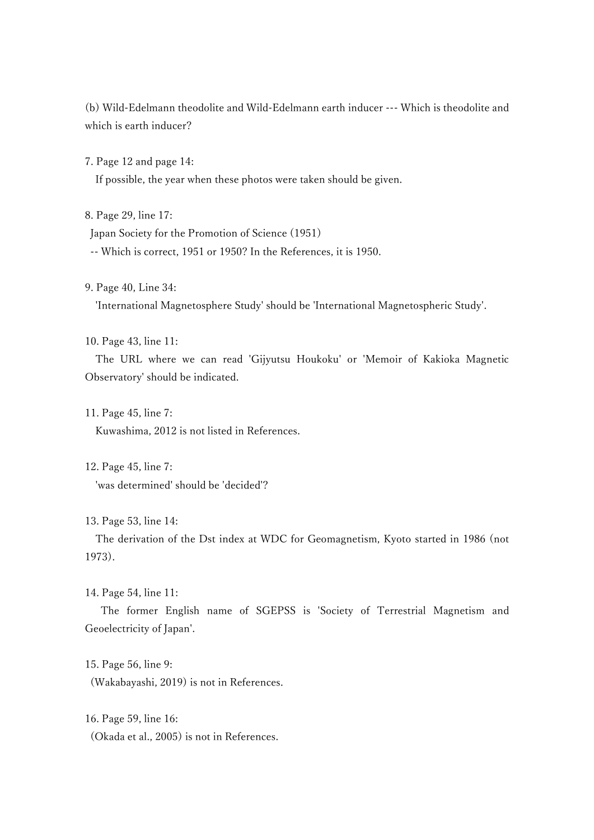(b) Wild-Edelmann theodolite and Wild-Edelmann earth inducer --- Which is theodolite and which is earth inducer?

7. Page 12 and page 14:

If possible, the year when these photos were taken should be given.

8. Page 29, line 17:

Japan Society for the Promotion of Science (1951)

-- Which is correct, 1951 or 1950? In the References, it is 1950.

9. Page 40, Line 34:

'International Magnetosphere Study' should be 'International Magnetospheric Study'.

10. Page 43, line 11:

The URL where we can read 'Gijyutsu Houkoku' or 'Memoir of Kakioka Magnetic Observatory' should be indicated.

11. Page 45, line 7:

Kuwashima, 2012 is not listed in References.

12. Page 45, line 7:

'was determined' should be 'decided'?

13. Page 53, line 14:

The derivation of the Dst index at WDC for Geomagnetism, Kyoto started in 1986 (not 1973).

14. Page 54, line 11:

 The former English name of SGEPSS is 'Society of Terrestrial Magnetism and Geoelectricity of Japan'.

15. Page 56, line 9: (Wakabayashi, 2019) is not in References.

16. Page 59, line 16: (Okada et al., 2005) is not in References.